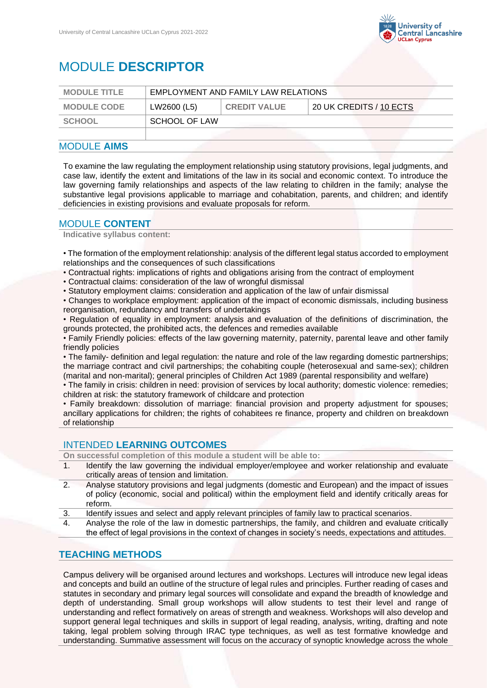

# MODULE **DESCRIPTOR**

| <b>MODULE TITLE</b> | EMPLOYMENT AND FAMILY LAW RELATIONS |                     |                         |
|---------------------|-------------------------------------|---------------------|-------------------------|
| <b>MODULE CODE</b>  | LW2600 (L5)                         | <b>CREDIT VALUE</b> | 20 UK CREDITS / 10 ECTS |
| <b>SCHOOL</b>       | SCHOOL OF LAW                       |                     |                         |
|                     |                                     |                     |                         |

#### MODULE **AIMS**

To examine the law regulating the employment relationship using statutory provisions, legal judgments, and case law, identify the extent and limitations of the law in its social and economic context. To introduce the law governing family relationships and aspects of the law relating to children in the family; analyse the substantive legal provisions applicable to marriage and cohabitation, parents, and children; and identify deficiencies in existing provisions and evaluate proposals for reform.

## MODULE **CONTENT**

**Indicative syllabus content:**

• The formation of the employment relationship: analysis of the different legal status accorded to employment relationships and the consequences of such classifications

- Contractual rights: implications of rights and obligations arising from the contract of employment
- Contractual claims: consideration of the law of wrongful dismissal
- Statutory employment claims: consideration and application of the law of unfair dismissal
- Changes to workplace employment: application of the impact of economic dismissals, including business reorganisation, redundancy and transfers of undertakings

• Regulation of equality in employment: analysis and evaluation of the definitions of discrimination, the grounds protected, the prohibited acts, the defences and remedies available

• Family Friendly policies: effects of the law governing maternity, paternity, parental leave and other family friendly policies

• The family- definition and legal regulation: the nature and role of the law regarding domestic partnerships; the marriage contract and civil partnerships; the cohabiting couple (heterosexual and same-sex); children (marital and non-marital); general principles of Children Act 1989 (parental responsibility and welfare)

• The family in crisis: children in need: provision of services by local authority; domestic violence: remedies; children at risk: the statutory framework of childcare and protection

• Family breakdown: dissolution of marriage: financial provision and property adjustment for spouses; ancillary applications for children; the rights of cohabitees re finance, property and children on breakdown of relationship

#### INTENDED **LEARNING OUTCOMES**

**On successful completion of this module a student will be able to:**

- 1. Identify the law governing the individual employer/employee and worker relationship and evaluate critically areas of tension and limitation.
- 2. Analyse statutory provisions and legal judgments (domestic and European) and the impact of issues of policy (economic, social and political) within the employment field and identify critically areas for reform.
- 3. Identify issues and select and apply relevant principles of family law to practical scenarios.
- 4. Analyse the role of the law in domestic partnerships, the family, and children and evaluate critically the effect of legal provisions in the context of changes in society's needs, expectations and attitudes.

#### **TEACHING METHODS**

Campus delivery will be organised around lectures and workshops. Lectures will introduce new legal ideas and concepts and build an outline of the structure of legal rules and principles. Further reading of cases and statutes in secondary and primary legal sources will consolidate and expand the breadth of knowledge and depth of understanding. Small group workshops will allow students to test their level and range of understanding and reflect formatively on areas of strength and weakness. Workshops will also develop and support general legal techniques and skills in support of legal reading, analysis, writing, drafting and note taking, legal problem solving through IRAC type techniques, as well as test formative knowledge and understanding. Summative assessment will focus on the accuracy of synoptic knowledge across the whole